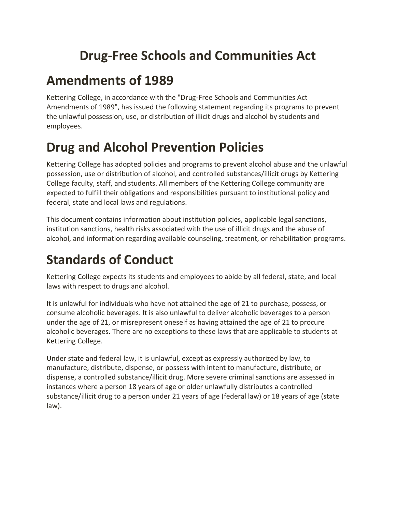## **Drug-Free Schools and Communities Act**

## **Amendments of 1989**

Kettering College, in accordance with the "Drug-Free Schools and Communities Act Amendments of 1989", has issued the following statement regarding its programs to prevent the unlawful possession, use, or distribution of illicit drugs and alcohol by students and employees.

## **Drug and Alcohol Prevention Policies**

Kettering College has adopted policies and programs to prevent alcohol abuse and the unlawful possession, use or distribution of alcohol, and controlled substances/illicit drugs by Kettering College faculty, staff, and students. All members of the Kettering College community are expected to fulfill their obligations and responsibilities pursuant to institutional policy and federal, state and local laws and regulations.

This document contains information about institution policies, applicable legal sanctions, institution sanctions, health risks associated with the use of illicit drugs and the abuse of alcohol, and information regarding available counseling, treatment, or rehabilitation programs.

## **Standards of Conduct**

Kettering College expects its students and employees to abide by all federal, state, and local laws with respect to drugs and alcohol.

It is unlawful for individuals who have not attained the age of 21 to purchase, possess, or consume alcoholic beverages. It is also unlawful to deliver alcoholic beverages to a person under the age of 21, or misrepresent oneself as having attained the age of 21 to procure alcoholic beverages. There are no exceptions to these laws that are applicable to students at Kettering College.

Under state and federal law, it is unlawful, except as expressly authorized by law, to manufacture, distribute, dispense, or possess with intent to manufacture, distribute, or dispense, a controlled substance/illicit drug. More severe criminal sanctions are assessed in instances where a person 18 years of age or older unlawfully distributes a controlled substance/illicit drug to a person under 21 years of age (federal law) or 18 years of age (state law).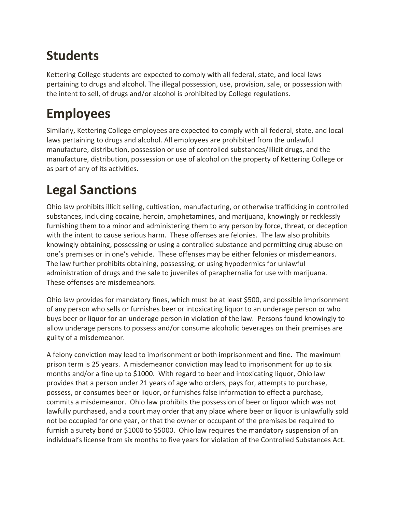## **Students**

Kettering College students are expected to comply with all federal, state, and local laws pertaining to drugs and alcohol. The illegal possession, use, provision, sale, or possession with the intent to sell, of drugs and/or alcohol is prohibited by College regulations.

## **Employees**

Similarly, Kettering College employees are expected to comply with all federal, state, and local laws pertaining to drugs and alcohol. All employees are prohibited from the unlawful manufacture, distribution, possession or use of controlled substances/illicit drugs, and the manufacture, distribution, possession or use of alcohol on the property of Kettering College or as part of any of its activities.

# **Legal Sanctions**

Ohio law prohibits illicit selling, cultivation, manufacturing, or otherwise trafficking in controlled substances, including cocaine, heroin, amphetamines, and marijuana, knowingly or recklessly furnishing them to a minor and administering them to any person by force, threat, or deception with the intent to cause serious harm. These offenses are felonies. The law also prohibits knowingly obtaining, possessing or using a controlled substance and permitting drug abuse on one's premises or in one's vehicle. These offenses may be either felonies or misdemeanors. The law further prohibits obtaining, possessing, or using hypodermics for unlawful administration of drugs and the sale to juveniles of paraphernalia for use with marijuana. These offenses are misdemeanors.

Ohio law provides for mandatory fines, which must be at least \$500, and possible imprisonment of any person who sells or furnishes beer or intoxicating liquor to an underage person or who buys beer or liquor for an underage person in violation of the law. Persons found knowingly to allow underage persons to possess and/or consume alcoholic beverages on their premises are guilty of a misdemeanor.

A felony conviction may lead to imprisonment or both imprisonment and fine. The maximum prison term is 25 years. A misdemeanor conviction may lead to imprisonment for up to six months and/or a fine up to \$1000. With regard to beer and intoxicating liquor, Ohio law provides that a person under 21 years of age who orders, pays for, attempts to purchase, possess, or consumes beer or liquor, or furnishes false information to effect a purchase, commits a misdemeanor. Ohio law prohibits the possession of beer or liquor which was not lawfully purchased, and a court may order that any place where beer or liquor is unlawfully sold not be occupied for one year, or that the owner or occupant of the premises be required to furnish a surety bond or \$1000 to \$5000. Ohio law requires the mandatory suspension of an individual's license from six months to five years for violation of the Controlled Substances Act.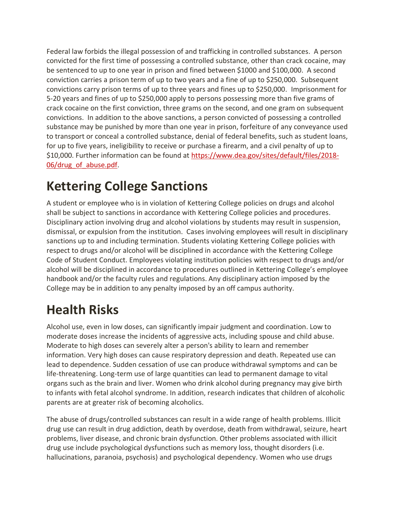Federal law forbids the illegal possession of and trafficking in controlled substances. A person convicted for the first time of possessing a controlled substance, other than crack cocaine, may be sentenced to up to one year in prison and fined between \$1000 and \$100,000. A second conviction carries a prison term of up to two years and a fine of up to \$250,000. Subsequent convictions carry prison terms of up to three years and fines up to \$250,000. Imprisonment for 5-20 years and fines of up to \$250,000 apply to persons possessing more than five grams of crack cocaine on the first conviction, three grams on the second, and one gram on subsequent convictions. In addition to the above sanctions, a person convicted of possessing a controlled substance may be punished by more than one year in prison, forfeiture of any conveyance used to transport or conceal a controlled substance, denial of federal benefits, such as student loans, for up to five years, ineligibility to receive or purchase a firearm, and a civil penalty of up to \$10,000. Further information can be found at [https://www.dea.gov/sites/default/files/2018-](https://www.dea.gov/sites/default/files/2018-06/drug_of_abuse.pdf) [06/drug\\_of\\_abuse.pdf.](https://www.dea.gov/sites/default/files/2018-06/drug_of_abuse.pdf)

## **Kettering College Sanctions**

A student or employee who is in violation of Kettering College policies on drugs and alcohol shall be subject to sanctions in accordance with Kettering College policies and procedures. Disciplinary action involving drug and alcohol violations by students may result in suspension, dismissal, or expulsion from the institution. Cases involving employees will result in disciplinary sanctions up to and including termination. Students violating Kettering College policies with respect to drugs and/or alcohol will be disciplined in accordance with the Kettering College Code of Student Conduct. Employees violating institution policies with respect to drugs and/or alcohol will be disciplined in accordance to procedures outlined in Kettering College's employee handbook and/or the faculty rules and regulations. Any disciplinary action imposed by the College may be in addition to any penalty imposed by an off campus authority.

# **Health Risks**

Alcohol use, even in low doses, can significantly impair judgment and coordination. Low to moderate doses increase the incidents of aggressive acts, including spouse and child abuse. Moderate to high doses can severely alter a person's ability to learn and remember information. Very high doses can cause respiratory depression and death. Repeated use can lead to dependence. Sudden cessation of use can produce withdrawal symptoms and can be life-threatening. Long-term use of large quantities can lead to permanent damage to vital organs such as the brain and liver. Women who drink alcohol during pregnancy may give birth to infants with fetal alcohol syndrome. In addition, research indicates that children of alcoholic parents are at greater risk of becoming alcoholics.

The abuse of drugs/controlled substances can result in a wide range of health problems. Illicit drug use can result in drug addiction, death by overdose, death from withdrawal, seizure, heart problems, liver disease, and chronic brain dysfunction. Other problems associated with illicit drug use include psychological dysfunctions such as memory loss, thought disorders (i.e. hallucinations, paranoia, psychosis) and psychological dependency. Women who use drugs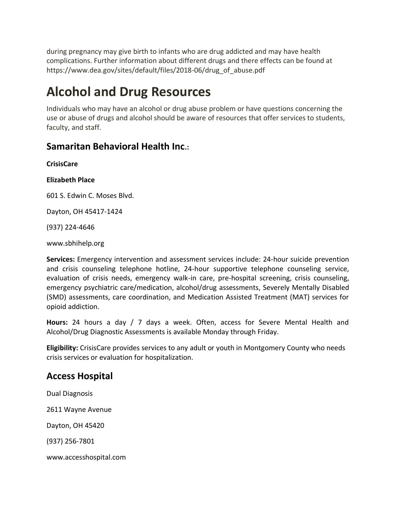during pregnancy may give birth to infants who are drug addicted and may have health complications. Further information about different drugs and there effects can be found at https://www.dea.gov/sites/default/files/2018-06/drug\_of\_abuse.pdf

## **Alcohol and Drug Resources**

Individuals who may have an alcohol or drug abuse problem or have questions concerning the use or abuse of drugs and alcohol should be aware of resources that offer services to students, faculty, and staff.

### **Samaritan Behavioral Health Inc.:**

**CrisisCare**

**Elizabeth Place**

601 S. Edwin C. Moses Blvd.

Dayton, OH 45417-1424

(937) 224-4646

www.sbhihelp.org

**Services:** Emergency intervention and assessment services include: 24-hour suicide prevention and crisis counseling telephone hotline, 24-hour supportive telephone counseling service, evaluation of crisis needs, emergency walk-in care, pre-hospital screening, crisis counseling, emergency psychiatric care/medication, alcohol/drug assessments, Severely Mentally Disabled (SMD) assessments, care coordination, and Medication Assisted Treatment (MAT) services for opioid addiction.

**Hours:** 24 hours a day / 7 days a week. Often, access for Severe Mental Health and Alcohol/Drug Diagnostic Assessments is available Monday through Friday.

**Eligibility:** CrisisCare provides services to any adult or youth in Montgomery County who needs crisis services or evaluation for hospitalization.

### **Access Hospital**

Dual Diagnosis 2611 Wayne Avenue Dayton, OH 45420 (937) 256-7801 www.accesshospital.com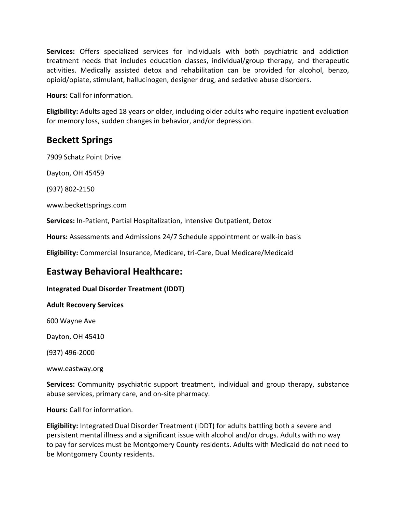**Services:** Offers specialized services for individuals with both psychiatric and addiction treatment needs that includes education classes, individual/group therapy, and therapeutic activities. Medically assisted detox and rehabilitation can be provided for alcohol, benzo, opioid/opiate, stimulant, hallucinogen, designer drug, and sedative abuse disorders.

**Hours:** Call for information.

**Eligibility:** Adults aged 18 years or older, including older adults who require inpatient evaluation for memory loss, sudden changes in behavior, and/or depression.

### **Beckett Springs**

7909 Schatz Point Drive

Dayton, OH 45459

(937) 802-2150

www.beckettsprings.com

**Services:** In-Patient, Partial Hospitalization, Intensive Outpatient, Detox

**Hours:** Assessments and Admissions 24/7 Schedule appointment or walk-in basis

**Eligibility:** Commercial Insurance, Medicare, tri-Care, Dual Medicare/Medicaid

### **Eastway Behavioral Healthcare:**

#### **Integrated Dual Disorder Treatment (IDDT)**

#### **Adult Recovery Services**

600 Wayne Ave

Dayton, OH 45410

(937) 496-2000

www.eastway.org

**Services:** Community psychiatric support treatment, individual and group therapy, substance abuse services, primary care, and on-site pharmacy.

**Hours:** Call for information.

**Eligibility:** Integrated Dual Disorder Treatment (IDDT) for adults battling both a severe and persistent mental illness and a significant issue with alcohol and/or drugs. Adults with no way to pay for services must be Montgomery County residents. Adults with Medicaid do not need to be Montgomery County residents.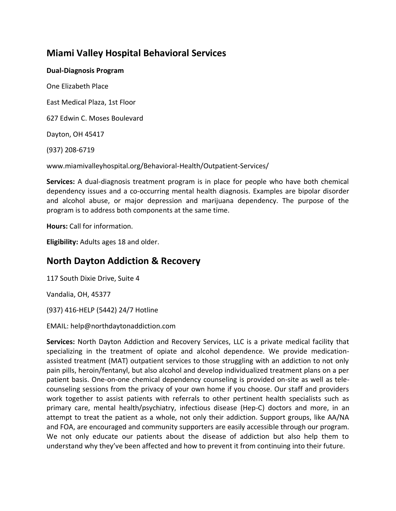### **Miami Valley Hospital Behavioral Services**

#### **Dual-Diagnosis Program**

One Elizabeth Place

East Medical Plaza, 1st Floor

627 Edwin C. Moses Boulevard

Dayton, OH 45417

(937) 208-6719

www.miamivalleyhospital.org/Behavioral-Health/Outpatient-Services/

**Services:** A dual-diagnosis treatment program is in place for people who have both chemical dependency issues and a co-occurring mental health diagnosis. Examples are bipolar disorder and alcohol abuse, or major depression and marijuana dependency. The purpose of the program is to address both components at the same time.

**Hours:** Call for information.

**Eligibility:** Adults ages 18 and older.

### **North Dayton Addiction & Recovery**

117 South Dixie Drive, Suite 4

Vandalia, OH, 45377

(937) 416-HELP (5442) 24/7 Hotline

EMAIL: help@northdaytonaddiction.com

**Services:** North Dayton Addiction and Recovery Services, LLC is a private medical facility that specializing in the treatment of opiate and alcohol dependence. We provide medicationassisted treatment (MAT) outpatient services to those struggling with an addiction to not only pain pills, heroin/fentanyl, but also alcohol and develop individualized treatment plans on a per patient basis. One-on-one chemical dependency counseling is provided on-site as well as telecounseling sessions from the privacy of your own home if you choose. Our staff and providers work together to assist patients with referrals to other pertinent health specialists such as primary care, mental health/psychiatry, infectious disease (Hep-C) doctors and more, in an attempt to treat the patient as a whole, not only their addiction. Support groups, like AA/NA and FOA, are encouraged and community supporters are easily accessible through our program. We not only educate our patients about the disease of addiction but also help them to understand why they've been affected and how to prevent it from continuing into their future.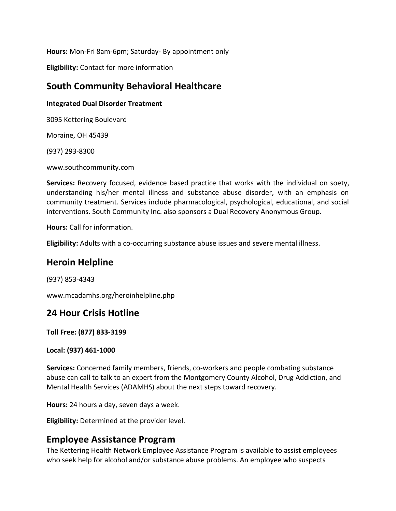**Hours:** Mon-Fri 8am-6pm; Saturday- By appointment only

**Eligibility:** Contact for more information

### **South Community Behavioral Healthcare**

#### **Integrated Dual Disorder Treatment**

3095 Kettering Boulevard

Moraine, OH 45439

(937) 293-8300

www.southcommunity.com

**Services:** Recovery focused, evidence based practice that works with the individual on soety, understanding his/her mental illness and substance abuse disorder, with an emphasis on community treatment. Services include pharmacological, psychological, educational, and social interventions. South Community Inc. also sponsors a Dual Recovery Anonymous Group.

**Hours:** Call for information.

**Eligibility:** Adults with a co-occurring substance abuse issues and severe mental illness.

### **Heroin Helpline**

(937) 853-4343

www.mcadamhs.org/heroinhelpline.php

### **24 Hour Crisis Hotline**

**Toll Free: (877) 833-3199**

**Local: (937) 461-1000**

**Services:** Concerned family members, friends, co-workers and people combating substance abuse can call to talk to an expert from the Montgomery County Alcohol, Drug Addiction, and Mental Health Services (ADAMHS) about the next steps toward recovery.

**Hours:** 24 hours a day, seven days a week.

**Eligibility:** Determined at the provider level.

### **Employee Assistance Program**

The Kettering Health Network Employee Assistance Program is available to assist employees who seek help for alcohol and/or substance abuse problems. An employee who suspects